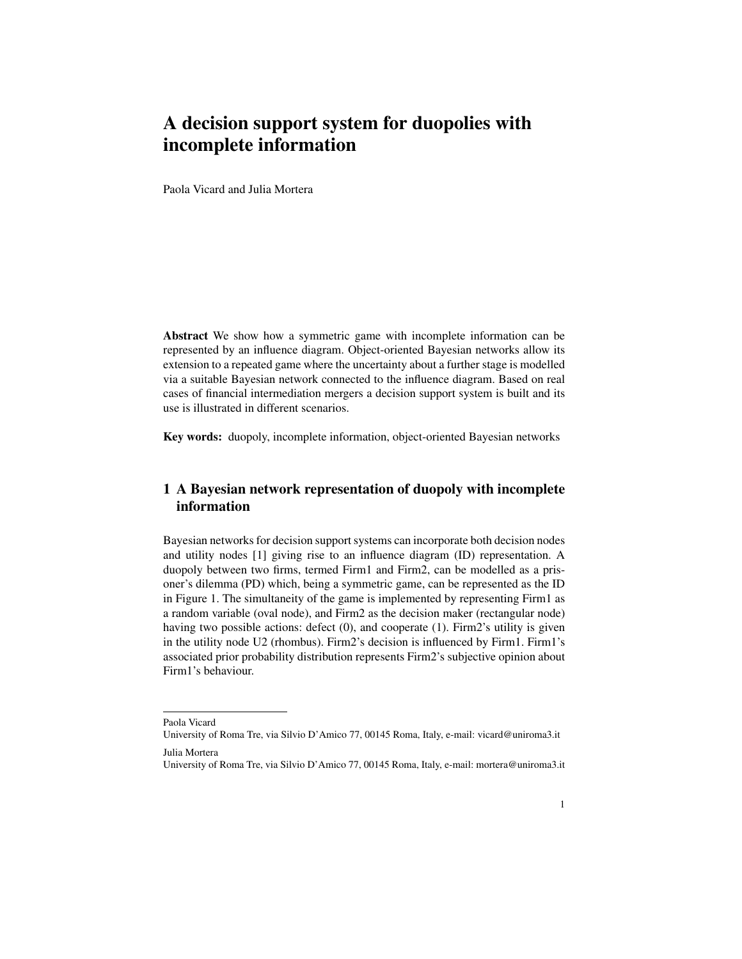## A decision support system for duopolies with incomplete information

Paola Vicard and Julia Mortera

Abstract We show how a symmetric game with incomplete information can be represented by an influence diagram. Object-oriented Bayesian networks allow its extension to a repeated game where the uncertainty about a further stage is modelled via a suitable Bayesian network connected to the influence diagram. Based on real cases of financial intermediation mergers a decision support system is built and its use is illustrated in different scenarios.

Key words: duopoly, incomplete information, object-oriented Bayesian networks

## 1 A Bayesian network representation of duopoly with incomplete information

Bayesian networks for decision support systems can incorporate both decision nodes and utility nodes [1] giving rise to an influence diagram (ID) representation. A duopoly between two firms, termed Firm1 and Firm2, can be modelled as a prisoner's dilemma (PD) which, being a symmetric game, can be represented as the ID in Figure 1. The simultaneity of the game is implemented by representing Firm1 as a random variable (oval node), and Firm2 as the decision maker (rectangular node) having two possible actions: defect (0), and cooperate (1). Firm2's utility is given in the utility node U2 (rhombus). Firm2's decision is influenced by Firm1. Firm1's associated prior probability distribution represents Firm2's subjective opinion about Firm1's behaviour.

Paola Vicard

University of Roma Tre, via Silvio D'Amico 77, 00145 Roma, Italy, e-mail: vicard@uniroma3.it

Julia Mortera

University of Roma Tre, via Silvio D'Amico 77, 00145 Roma, Italy, e-mail: mortera@uniroma3.it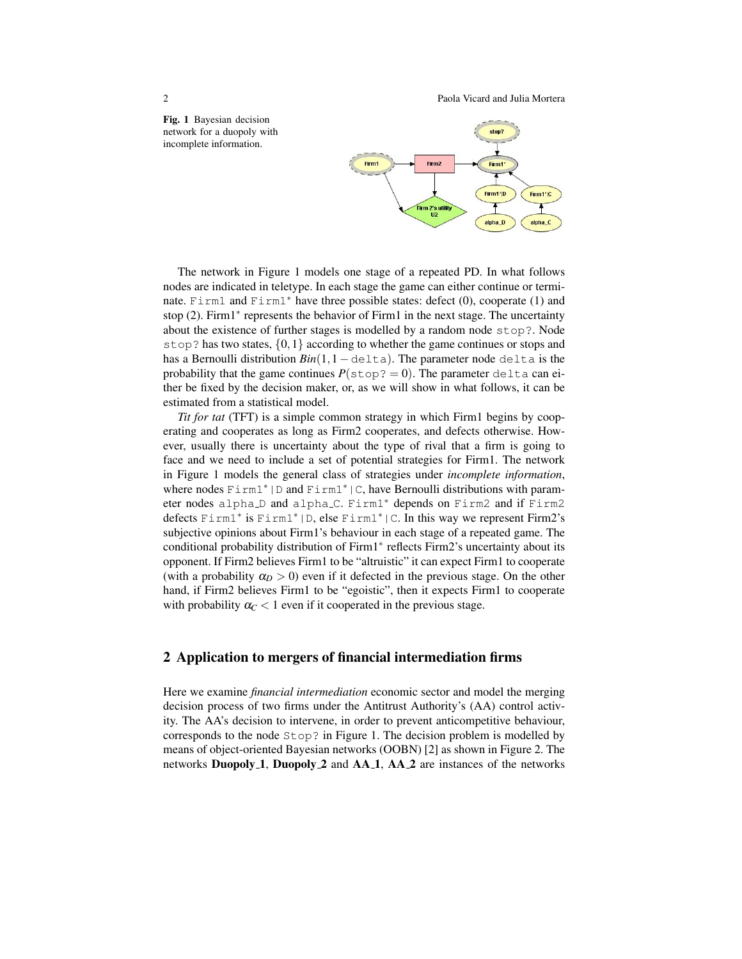2 Paola Vicard and Julia Mortera

Fig. 1 Bayesian decision network for a duopoly with incomplete information.



The network in Figure 1 models one stage of a repeated PD. In what follows nodes are indicated in teletype. In each stage the game can either continue or terminate. Firm1 and Firm1<sup>∗</sup> have three possible states: defect (0), cooperate (1) and stop (2). Firm1<sup>\*</sup> represents the behavior of Firm1 in the next stage. The uncertainty about the existence of further stages is modelled by a random node stop?. Node stop? has two states,  $\{0,1\}$  according to whether the game continues or stops and has a Bernoulli distribution *Bin*(1,1−delta). The parameter node delta is the probability that the game continues  $P(\text{stop}=0)$ . The parameter delta can either be fixed by the decision maker, or, as we will show in what follows, it can be estimated from a statistical model.

*Tit for tat* (TFT) is a simple common strategy in which Firm1 begins by cooperating and cooperates as long as Firm2 cooperates, and defects otherwise. However, usually there is uncertainty about the type of rival that a firm is going to face and we need to include a set of potential strategies for Firm1. The network in Figure 1 models the general class of strategies under *incomplete information*, where nodes  $F \text{im}1^* | D$  and  $F \text{im}1^* | C$ , have Bernoulli distributions with parameter nodes alpha<sub>⊥</sub>D and alpha<sub>→</sub>C. Firm1<sup>\*</sup> depends on Firm2 and if Firm2 defects Firm1<sup>∗</sup> is Firm1∗|D, else Firm1∗|C. In this way we represent Firm2's subjective opinions about Firm1's behaviour in each stage of a repeated game. The conditional probability distribution of Firm1<sup>∗</sup> reflects Firm2's uncertainty about its opponent. If Firm2 believes Firm1 to be "altruistic" it can expect Firm1 to cooperate (with a probability  $\alpha_D > 0$ ) even if it defected in the previous stage. On the other hand, if Firm2 believes Firm1 to be "egoistic", then it expects Firm1 to cooperate with probability  $\alpha_C < 1$  even if it cooperated in the previous stage.

## 2 Application to mergers of financial intermediation firms

Here we examine *financial intermediation* economic sector and model the merging decision process of two firms under the Antitrust Authority's (AA) control activity. The AA's decision to intervene, in order to prevent anticompetitive behaviour, corresponds to the node  $Step$ ? in Figure 1. The decision problem is modelled by means of object-oriented Bayesian networks (OOBN) [2] as shown in Figure 2. The networks **Duopoly** 1, **Duopoly** 2 and  $AA_1$ ,  $AA_2$  are instances of the networks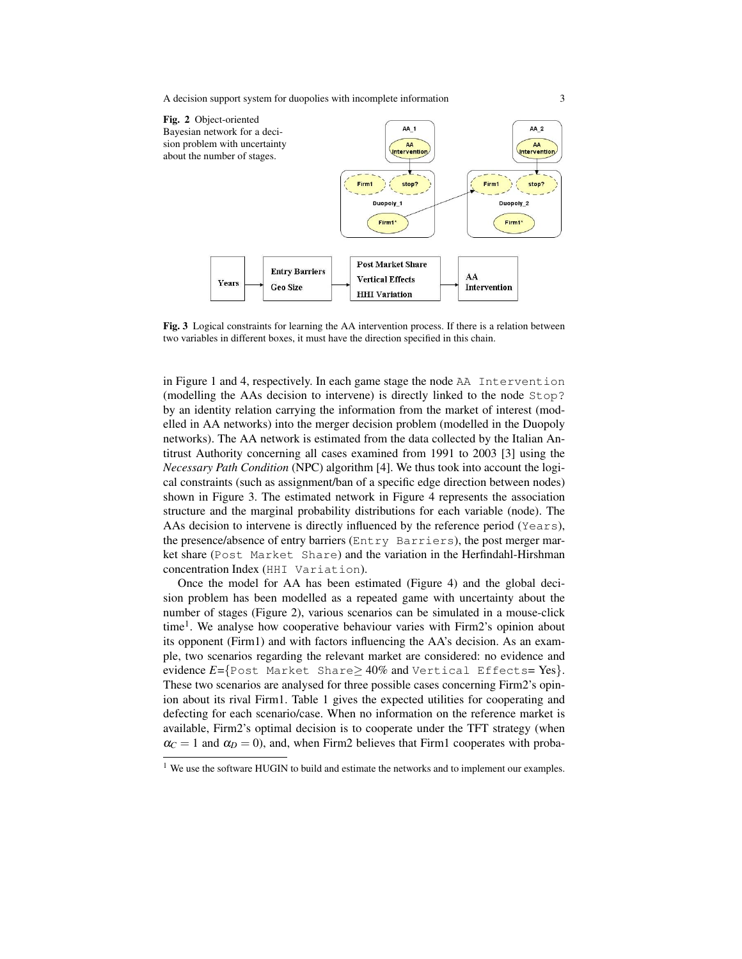A decision support system for duopolies with incomplete information 3



Fig. 3 Logical constraints for learning the AA intervention process. If there is a relation between two variables in different boxes, it must have the direction specified in this chain.

in Figure 1 and 4, respectively. In each game stage the node AA Intervention (modelling the AAs decision to intervene) is directly linked to the node Stop? by an identity relation carrying the information from the market of interest (modelled in AA networks) into the merger decision problem (modelled in the Duopoly networks). The AA network is estimated from the data collected by the Italian Antitrust Authority concerning all cases examined from 1991 to 2003 [3] using the *Necessary Path Condition* (NPC) algorithm [4]. We thus took into account the logical constraints (such as assignment/ban of a specific edge direction between nodes) shown in Figure 3. The estimated network in Figure 4 represents the association structure and the marginal probability distributions for each variable (node). The AAs decision to intervene is directly influenced by the reference period (Years), the presence/absence of entry barriers (Entry Barriers), the post merger market share (Post Market Share) and the variation in the Herfindahl-Hirshman concentration Index (HHI Variation).

Once the model for AA has been estimated (Figure 4) and the global decision problem has been modelled as a repeated game with uncertainty about the number of stages (Figure 2), various scenarios can be simulated in a mouse-click time<sup>1</sup>. We analyse how cooperative behaviour varies with Firm2's opinion about its opponent (Firm1) and with factors influencing the AA's decision. As an example, two scenarios regarding the relevant market are considered: no evidence and evidence *E*={Post Market Share≥ 40% and Vertical Effects= Yes}. These two scenarios are analysed for three possible cases concerning Firm2's opinion about its rival Firm1. Table 1 gives the expected utilities for cooperating and defecting for each scenario/case. When no information on the reference market is available, Firm2's optimal decision is to cooperate under the TFT strategy (when  $\alpha_C = 1$  and  $\alpha_D = 0$ ), and, when Firm2 believes that Firm1 cooperates with proba-

<sup>&</sup>lt;sup>1</sup> We use the software HUGIN to build and estimate the networks and to implement our examples.